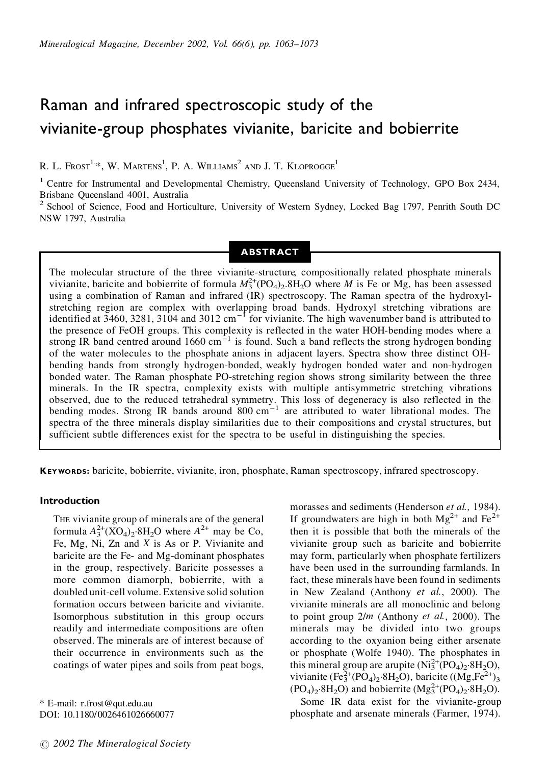# Raman and infrared spectroscopic study of the vivianite-group phosphates vivianite, baricite and bobierrite

R. L. Frost<sup>1,\*</sup>, W. Martens<sup>1</sup>, P. A. Williams<sup>2</sup> and J. T. Kloprogge<sup>1</sup>

<sup>1</sup> Centre for Instrumental and Developmental Chemistry, Queensland University of Technology, GPO Box 2434, Brisbane Queensland 4001, Australia

<sup>2</sup> School of Science, Food and Horticulture, University of Western Sydney, Locked Bag 1797, Penrith South DC NSW 1797, Australia

# **ABSTRACT**

The molecular structure of the three vivianite-structure, compositionally related phosphate minerals vivianite, baricite and bobierrite of formula  $M_3^{2+}(\text{PO}_4)_2.\text{8H}_2\text{O}$  where *M* is Fe or Mg, has been assessed using a combination of Raman and infrared (IR) spectroscopy. The Raman spectra of the hydroxylstretching region are complex with overlapping broad bands. Hydroxyl stretching vibrations are identified at 3460, 3281, 3104 and 3012 cm<sup>-1</sup> for vivianite. The high wavenumber band is attributed to the presence of FeOH groups. This complexity is reflected in the water HOH-bending modes where a strong IR band centred around 1660 cm<sup>-1</sup> is found. Such a band reflects the strong hydrogen bonding of the water molecules to the phosphate anions in adjacent layers. Spectra show three distinct OHbending bands from strongly hydrogen-bonded, weakly hydrogen bonded water and non-hydrogen bonded water. The Raman phosphate PO-stretching region shows strong similarity between the three minerals. In the IR spectra, complexity exists with multiple antisymmetric stretching vibrations observed, due to the reduced tetrahedral symmetry. This loss of degeneracy is also reflected in the bending modes. Strong IR bands around  $800 \text{ cm}^{-1}$  are attributed to water librational modes. The spectra of the three minerals display similarities due to their compositions and crystal structures, but sufficient subtle differences exist for the spectra to be useful in distinguishing the species.

**KEYWORDS:** baricite, bobierrite, vivianite, iron, phosphate, Raman spectroscopy, infrared spectroscopy.

#### **Introduction**

THE vivianite group of minerals are of the general formula  $A_3^{2+}(\text{XO}_4)_2$  8H<sub>2</sub>O where  $A^{2+}$  may be Co, Fe, Mg, Ni, Zn and *X* is As or P. Vivianite and baricite are the Fe- and Mg-dominant phosphates in the group, respectively. Baricite possesses a more common diamorph, bobierrite, with a doubled unit-cell volume. Extensive solid solution formation occurs between baricite and vivianite. Isomorphous substitution in this group occurs readily and intermediate compositions are often observed. The minerals are of interest because of their occurrence in environments such as the coatings of water pipes and soils from peat bogs,

\* E-mail: r.frost@qut.edu.au DOI: 10.1180/0026461026660077 morasses and sediments (Henderson *et al.,* 1984). If groundwaters are high in both  $Mg^{2+}$  and Fe<sup>2+</sup> then it is possible that both the minerals of the vivianite group such as baricite and bobierrite may form, particularly when phosphate fertilizers have been used in the surrounding farmlands. In fact, these minerals have been found in sediments in New Zealand (Anthony *et al.*, 2000). The vivianite minerals are all monoclinic and belong to point group 2/*m* (Anthony *et al.*, 2000). The minerals may be divided into two groups according to the oxyanion being either arsenate or phosphate (Wolfe 1940). The phosphates in this mineral group are arupite  $(Ni_3^{2+}(PO_4)_2.8H_2O)$ , vivianite (Fe $_3^{2+}$ (PO<sub>4</sub>)<sub>2</sub>.8H<sub>2</sub>O), baricite ((Mg,Fe<sup>2+</sup>)<sub>3</sub>  $(PO_4)_2.8H_2O$  and bobierrite  $(Mg_3^{2+}(PO_4)_2.8H_2O)$ .

Some IR data exist for the vivianite-group phosphate and arsenate minerals (Farmer, 1974).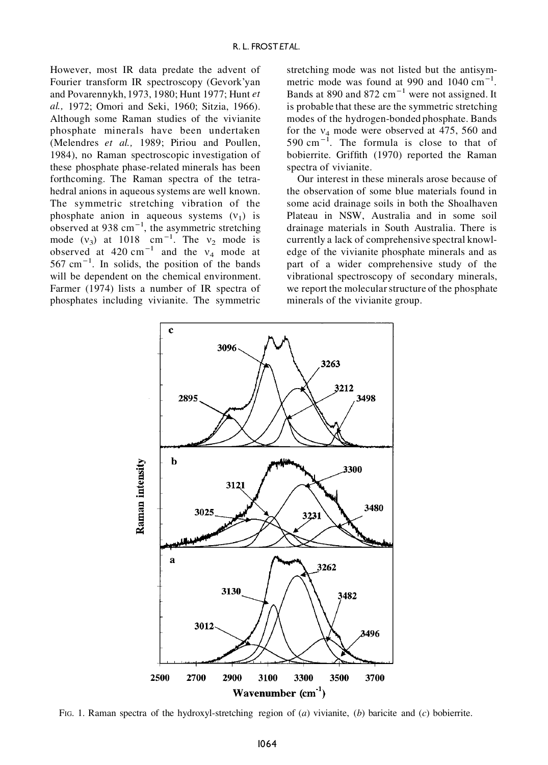However, most IR data predate the advent of Fourier transform IR spectroscopy (Gevork'yan and Povarennykh,1973, 1980; Hunt 1977; Hunt *et al.,* 1972; Omori and Seki, 1960; Sitzia, 1966). Although some Raman studies of the vivianite phosphate minerals have been undertaken (Melendres *et al.,* 1989; Piriou and Poullen, 1984), no Raman spectroscopic investigation of these phosphate phase-related minerals has been forthcoming. The Raman spectra of the tetrahedral anions in aqueous systems are well known. The symmetric stretching vibration of the phosphate anion in aqueous systems  $(v_1)$  is observed at 938 cm<sup>-1</sup>, the asymmetric stretching<br>mode ( $v_3$ ) at 1018 cm<sup>-1</sup>. The  $v_2$  mode is observed at  $420 \text{ cm}^{-1}$  and the  $v_4$  mode at  $567 \text{ cm}^{-1}$ . In solids, the position of the bands will be dependent on the chemical environment. Farmer (1974) lists a number of IR spectra of phosphates including vivianite. The symmetric

stretching mode was not listed but the antisymmetric mode was found at 990 and  $1040 \text{ cm}^{-1}$ . Bands at 890 and 872  $cm^{-1}$  were not assigned. It is probable that these are the symmetric stretching modes of the hydrogen-bonded phosphate. Bands for the  $v_4$  mode were observed at 475, 560 and  $590 \text{ cm}^{-1}$ . The formula is close to that of bobierrite. Grifth (1970) reported the Raman spectra of vivianite.

Our interest in these minerals arose because of the observation of some blue materials found in some acid drainage soils in both the Shoalhaven Plateau in NSW, Australia and in some soil drainage materials in South Australia. There is currently a lack of comprehensive spectral knowledge of the vivianite phosphate minerals and as part of a wider comprehensive study of the vibrational spectroscopy of secondary minerals, we report the molecular structure of the phosphate minerals of the vivianite group.



FIG. 1. Raman spectra of the hydroxyl-stretching region of (*a*) vivianite, (*b*) baricite and (*c*) bobierrite.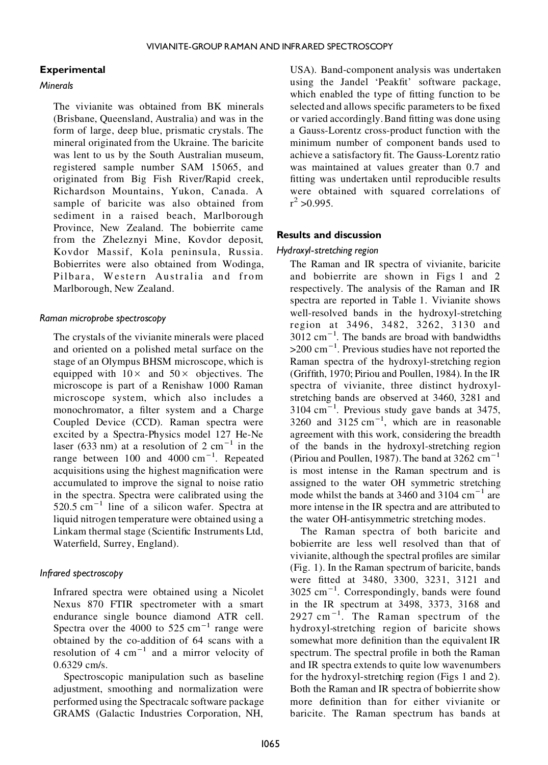## **Experimental**

# *Minerals*

The vivianite was obtained from BK minerals (Brisbane, Queensland, Australia) and was in the form of large, deep blue, prismatic crystals. The mineral originated from the Ukraine. The baricite was lent to us by the South Australian museum, registered sample number SAM 15065, and originated from Big Fish River/Rapid creek, Richardson Mountains, Yukon, Canada. A sample of baricite was also obtained from sediment in a raised beach, Marlborough Province, New Zealand. The bobierrite came from the Zheleznyi Mine, Kovdor deposit, Kovdor Massif, Kola peninsula, Russia. Bobierrites were also obtained from Wodinga, Pilbara, Western Australia and from Marlborough, New Zealand.

#### *Raman microprobe spectroscopy*

The crystals of the vivianite minerals were placed and oriented on a polished metal surface on the stage of an Olympus BHSM microscope, which is equipped with  $10\times$  and  $50\times$  objectives. The microscope is part of a Renishaw 1000 Raman microscope system, which also includes a monochromator, a filter system and a Charge Coupled Device (CCD). Raman spectra were excited by a Spectra-Physics model 127 He-Ne laser (633 nm) at a resolution of 2 cm<sup>-1</sup> in the range between  $100$  and  $4000 \text{ cm}^{-1}$ . Repeated acquisitions using the highest magnification were accumulated to improve the signal to noise ratio in the spectra. Spectra were calibrated using the  $520.5$  cm<sup>-1</sup> line of a silicon wafer. Spectra at liquid nitrogen temperature were obtained using a Linkam thermal stage (Scientific Instruments Ltd, Waterfield, Surrey, England).

# *Infrared spectroscopy*

Infrared spectra were obtained using a Nicolet Nexus 870 FTIR spectrometer with a smart endurance single bounce diamond ATR cell. Spectra over the 4000 to 525 cm<sup> $-1$ </sup> range were obtained by the co-addition of 64 scans with a resolution of  $4 \text{ cm}^{-1}$  and a mirror velocity of 0.6329 cm/s.

Spectroscopic manipulation such as baseline adjustment, smoothing and normalization were performed using the Spectracalc software package GRAMS (Galactic Industries Corporation, NH,

USA). Band-component analysis was undertaken using the Jandel 'Peakfit' software package, which enabled the type of fitting function to be selected and allows specific parameters to be fixed or varied accordingly. Band fitting was done using a Gauss-Lorentz cross-product function with the minimum number of component bands used to achieve a satisfactory fit. The Gauss-Lorentz ratio was maintained at values greater than 0.7 and fitting was undertaken until reproducible results were obtained with squared correlations of  $r^2 > 0.995$ .

# **Results and discussion**

#### *Hydroxyl-stretching region*

The Raman and IR spectra of vivianite, baricite and bobierrite are shown in Figs 1 and 2 respectively. The analysis of the Raman and IR spectra are reported in Table 1. Vivianite shows well-resolved bands in the hydroxyl-stretching region at 3496, 3482, 3262, 3130 and  $3012 \text{ cm}^{-1}$ . The bands are broad with bandwidths  $>200$  cm<sup>-1</sup>. Previous studies have not reported the Raman spectra of the hydroxyl-stretching region (Grifth, 1970; Piriou and Poullen, 1984). In the IR spectra of vivianite, three distinct hydroxylstretching bands are observed at 3460, 3281 and  $3104 \text{ cm}^{-1}$ . Previous study gave bands at 3475, 3260 and 3125 cm<sup>-1</sup>, which are in reasonable agreement with this work, considering the breadth of the bands in the hydroxyl-stretching region (Piriou and Poullen, 1987). The band at  $3262 \text{ cm}^{-1}$ is most intense in the Raman spectrum and is assigned to the water OH symmetric stretching mode whilst the bands at  $3460$  and  $3104$  cm<sup>-1</sup> are more intense in the IR spectra and are attributed to the water OH-antisymmetric stretching modes.

The Raman spectra of both baricite and bobierrite are less well resolved than that of vivianite, although the spectral profiles are similar (Fig. 1). In the Raman spectrum of baricite, bands were fitted at 3480, 3300, 3231, 3121 and  $3025 \text{ cm}^{-1}$ . Correspondingly, bands were found in the IR spectrum at 3498, 3373, 3168 and  $2927 \text{ cm}^{-1}$ . The Raman spectrum of the hydroxyl-stretching region of baricite shows somewhat more definition than the equivalent IR spectrum. The spectral profile in both the Raman and IR spectra extends to quite low wavenumbers for the hydroxyl-stretching region (Figs 1 and 2). Both the Raman and IR spectra of bobierrite show more definition than for either vivianite or baricite. The Raman spectrum has bands at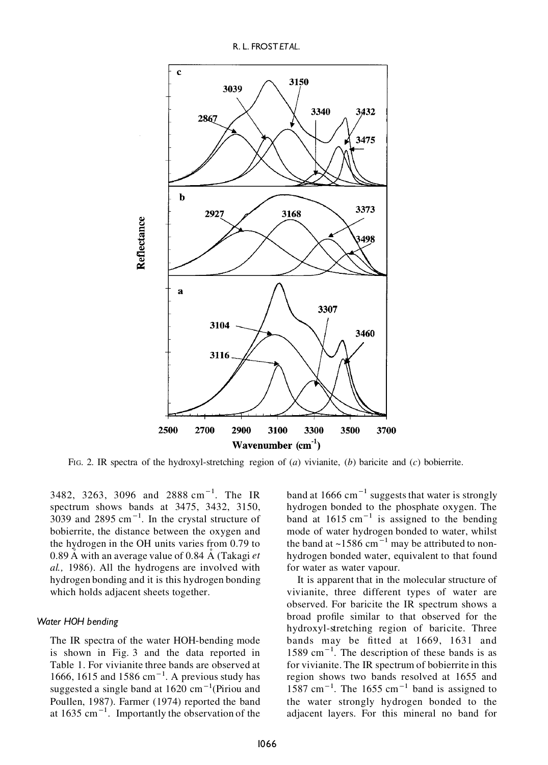

FIG. 2. IR spectra of the hydroxyl-stretching region of (*a*) vivianite, (*b*) baricite and (*c*) bobierrite.

3482, 3263, 3096 and 2888 cm<sup>-1</sup>. The IR spectrum shows bands at 3475, 3432, 3150,  $3039$  and  $2895$  cm<sup>-1</sup>. In the crystal structure of bobierrite, the distance between the oxygen and the hydrogen in the OH units varies from 0.79 to 0.89  $\AA$  with an average value of 0.84  $\AA$  (Takagi *et*) *al.,* 1986). All the hydrogens are involved with hydrogen bonding and it is this hydrogen bonding which holds adjacent sheets together.

# *Water HOH bending*

The IR spectra of the water HOH-bending mode is shown in Fig. 3 and the data reported in Table 1. For vivianite three bands are observed at 1666, 1615 and 1586  $\text{cm}^{-1}$ . A previous study has suggested a single band at 1620 cm<sup> $-1$ </sup>(Piriou and Poullen, 1987). Farmer (1974) reported the band at  $1635 \text{ cm}^{-1}$ . Importantly the observation of the band at 1666  $cm^{-1}$  suggests that water is strongly hydrogen bonded to the phosphate oxygen. The band at  $1615 \text{ cm}^{-1}$  is assigned to the bending mode of water hydrogen bonded to water, whilst the band at  $\sim$ 1586 cm<sup>-1</sup> may be attributed to nonhydrogen bonded water, equivalent to that found for water as water vapour.

It is apparent that in the molecular structure of vivianite, three different types of water are observed. For baricite the IR spectrum shows a broad profile similar to that observed for the hydroxyl-stretching region of baricite. Three bands may be fitted at 1669, 1631 and 1589 cm<sup> $-1$ </sup>. The description of these bands is as for vivianite. The IR spectrum of bobierrite in this region shows two bands resolved at 1655 and  $1587 \text{ cm}^{-1}$ . The 1655 cm<sup>-1</sup> band is assigned to the water strongly hydrogen bonded to the adjacent layers. For this mineral no band for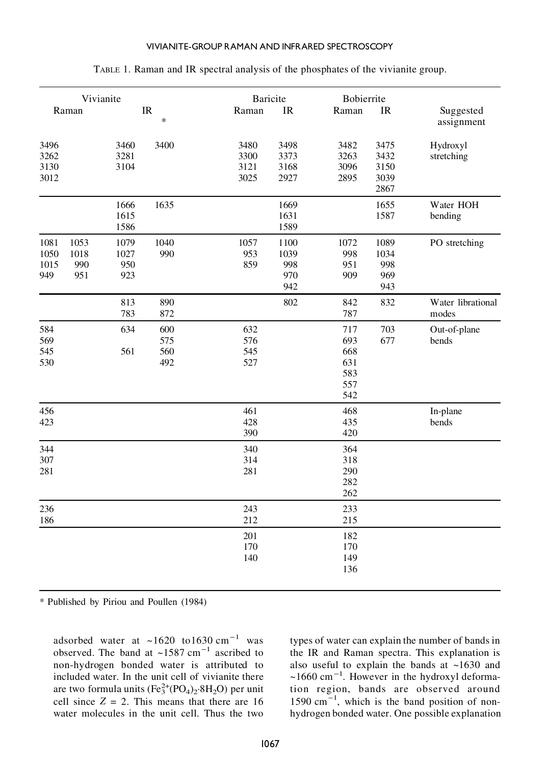## VIVIANITE-GROUP RAMAN AND INFRARED SPECTROSCOPY

| Vivianite                    |                            |                                        |                          | <b>Baricite</b>              |                                   | Bobierrite                                    |                                      |                            |
|------------------------------|----------------------------|----------------------------------------|--------------------------|------------------------------|-----------------------------------|-----------------------------------------------|--------------------------------------|----------------------------|
| Raman                        |                            | $\ensuremath{\mathsf{IR}}\xspace$<br>× |                          | Raman                        | <b>IR</b>                         | Raman                                         | <b>IR</b>                            | Suggested<br>assignment    |
| 3496<br>3262<br>3130<br>3012 |                            | 3460<br>3281<br>3104                   | 3400                     | 3480<br>3300<br>3121<br>3025 | 3498<br>3373<br>3168<br>2927      | 3482<br>3263<br>3096<br>2895                  | 3475<br>3432<br>3150<br>3039<br>2867 | Hydroxyl<br>stretching     |
|                              |                            | 1666<br>1615<br>1586                   | 1635                     |                              | 1669<br>1631<br>1589              |                                               | 1655<br>1587                         | Water HOH<br>bending       |
| 1081<br>1050<br>1015<br>949  | 1053<br>1018<br>990<br>951 | 1079<br>1027<br>950<br>923             | 1040<br>990              | 1057<br>953<br>859           | 1100<br>1039<br>998<br>970<br>942 | 1072<br>998<br>951<br>909                     | 1089<br>1034<br>998<br>969<br>943    | PO stretching              |
|                              |                            | 813<br>783                             | 890<br>872               |                              | 802                               | 842<br>787                                    | 832                                  | Water librational<br>modes |
| 584<br>569<br>545<br>530     |                            | 634<br>561                             | 600<br>575<br>560<br>492 | 632<br>576<br>545<br>527     |                                   | 717<br>693<br>668<br>631<br>583<br>557<br>542 | 703<br>677                           | Out-of-plane<br>bends      |
| 456<br>423                   |                            |                                        |                          | 461<br>428<br>390            |                                   | 468<br>435<br>420                             |                                      | In-plane<br>bends          |
| 344<br>307<br>281            |                            |                                        |                          | 340<br>314<br>281            |                                   | 364<br>318<br>290<br>282<br>262               |                                      |                            |
| 236<br>186                   |                            |                                        |                          | 243<br>212<br>201<br>170     |                                   | 233<br>215<br>182<br>170                      |                                      |                            |
|                              |                            |                                        |                          | 140                          |                                   | 149<br>136                                    |                                      |                            |

# TABLE 1. Raman and IR spectral analysis of the phosphates of the vivianite group.

\* Published by Piriou and Poullen (1984)

adsorbed water at  $\sim$ 1620 to1630 cm<sup>-1</sup> was observed. The band at  $\sim$ 1587 cm<sup>-1</sup> ascribed to non-hydrogen bonded water is attributed to included water. In the unit cell of vivianite there are two formula units  $(Fe<sub>3</sub><sup>2+</sup>(PO<sub>4</sub>)<sub>2</sub>·8H<sub>2</sub>O)$  per unit cell since  $Z = 2$ . This means that there are 16 water molecules in the unit cell. Thus the two

types of water can explain the number of bands in the IR and Raman spectra. This explanation is also useful to explain the bands at ~1630 and  $\sim$ 1660 cm<sup>-1</sup>. However in the hydroxyl deformation region, bands are observed around  $1590 \text{ cm}^{-1}$ , which is the band position of nonhydrogen bonded water. One possible explanation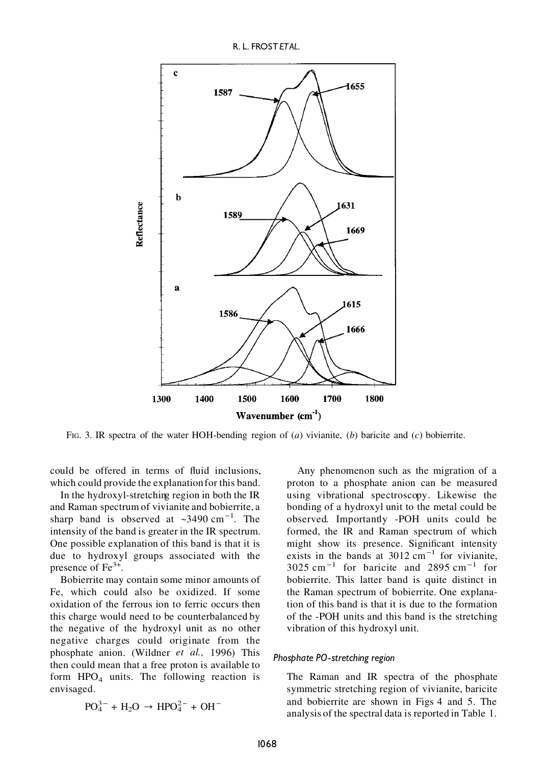

FIG. 3. IR spectra of the water HOH-bending region of (*a*) vivianite, (*b*) baricite and (*c*) bobierrite.

could be offered in terms of fluid inclusions. which could provide the explanationfor this band.

In the hydroxyl-stretching region in both the IR and Raman spectrum of vivianite and bobierrite, a sharp band is observed at  $\sim$ 3490 cm<sup>-1</sup>. The intensity of the band is greater in the IR spectrum. One possible explanation of this band is that it is due to hydroxyl groups associated with the presence of  $Fe<sup>3+</sup>$ .

Bobierrite may contain some minor amounts of Fe, which could also be oxidized. If some oxidation of the ferrous ion to ferric occurs then this charge would need to be counterbalanced by the negative of the hydroxyl unit as no other negative charges could originate from the phosphate anion. (Wildner *et al.,* 1996) This then could mean that a free proton is available to form  $HPO<sub>4</sub>$  units. The following reaction is envisaged.

$$
PO_4^{3-}
$$
 + H<sub>2</sub>O  $\rightarrow$  HPO<sub>4</sub><sup>2-</sup> + OH<sup>-</sup>

Any phenomenon such as the migration of a proton to a phosphate anion can be measured using vibrational spectroscopy. Likewise the bonding of a hydroxyl unit to the metal could be observed. Importantly -POH units could be formed, the IR and Raman spectrum of which might show its presence. Significant intensity exists in the bands at  $3012 \text{ cm}^{-1}$  for vivianite,  $3025$  cm<sup>-1</sup> for baricite and 2895 cm<sup>-1</sup> for bobierrite. This latter band is quite distinct in the Raman spectrum of bobierrite. One explanation of this band is that it is due to the formation of the -POH units and this band is the stretching vibration of this hydroxyl unit.

### *Phosphate PO-stretching region*

The Raman and IR spectra of the phosphate symmetric stretching region of vivianite, baricite and bobierrite are shown in Figs 4 and 5. The analysis of the spectral data is reported in Table 1.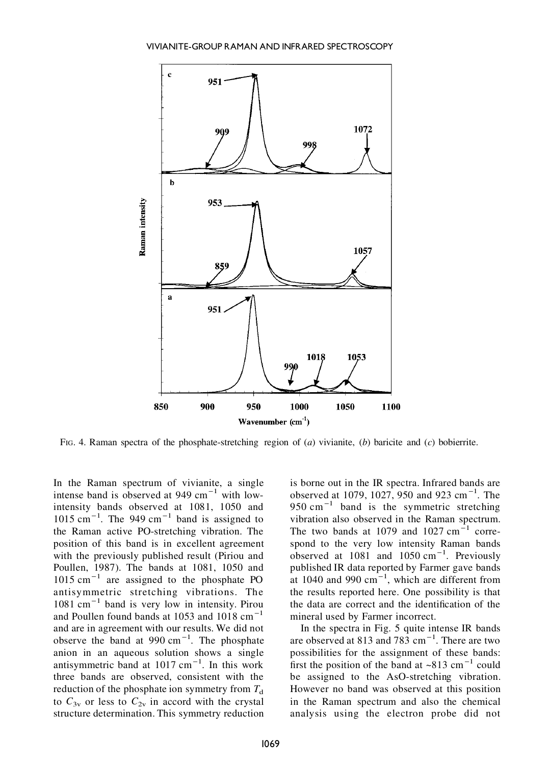

FIG. 4. Raman spectra of the phosphate-stretching region of (*a*) vivianite, (*b*) baricite and (*c*) bobierrite.

In the Raman spectrum of vivianite, a single intense band is observed at 949  $\text{cm}^{-1}$  with lowintensity bands observed at 1081, 1050 and  $1015 \text{ cm}^{-1}$ . The 949 cm<sup>-1</sup> band is assigned to the Raman active PO-stretching vibration. The position of this band is in excellent agreement with the previously published result (Piriou and Poullen, 1987). The bands at 1081, 1050 and  $1015$  cm<sup> $-1$ </sup> are assigned to the phosphate PO antisymmetric stretching vibrations. The  $1081$  cm<sup> $-1$ </sup> band is very low in intensity. Pirou and Poullen found bands at 1053 and 1018  $cm^{-1}$ and are in agreement with our results. We did not observe the band at 990 cm<sup>-1</sup>. The phosphate anion in an aqueous solution shows a single antisymmetric band at  $1017 \text{ cm}^{-1}$ . In this work three bands are observed, consistent with the reduction of the phosphate ion symmetry from  $T_d$ to  $C_{3v}$  or less to  $C_{2v}$  in accord with the crystal structure determination. This symmetry reduction

is borne out in the IR spectra. Infrared bands are observed at 1079, 1027, 950 and 923 cm<sup>-1</sup>. The 950 cm<sup> $-1$ </sup> band is the symmetric stretching vibration also observed in the Raman spectrum. The two bands at 1079 and 1027  $\text{cm}^{-1}$  correspond to the very low intensity Raman bands observed at  $1081$  and  $1050 \text{ cm}^{-1}$ . Previously published IR data reported by Farmer gave bands at 1040 and 990  $cm^{-1}$ , which are different from the results reported here. One possibility is that the data are correct and the identification of the mineral used by Farmer incorrect.

In the spectra in Fig. 5 quite intense IR bands are observed at 813 and 783  $\text{cm}^{-1}$ . There are two possibilities for the assignment of these bands: first the position of the band at  $\sim 813$  cm<sup>-1</sup> could be assigned to the AsO-stretching vibration. However no band was observed at this position in the Raman spectrum and also the chemical analysis using the electron probe did not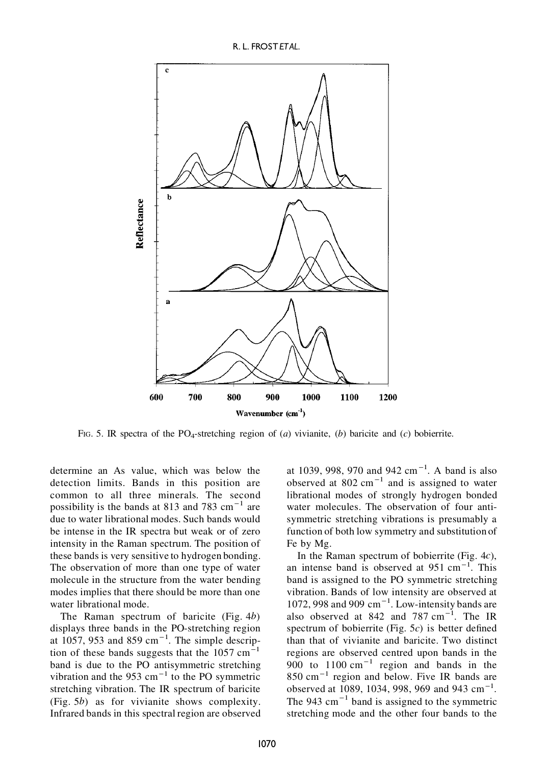R. L. FROST*ETAL.*



FIG. 5. IR spectra of the PO<sub>4</sub>-stretching region of (*a*) vivianite, (*b*) baricite and (*c*) bobierrite.

determine an As value, which was below the detection limits. Bands in this position are common to all three minerals. The second possibility is the bands at 813 and 783  $\text{cm}^{-1}$  are due to water librational modes. Such bands would be intense in the IR spectra but weak or of zero intensity in the Raman spectrum. The position of these bands is very sensitive to hydrogen bonding. The observation of more than one type of water molecule in the structure from the water bending modes implies that there should be more than one water librational mode.

The Raman spectrum of baricite (Fig. 4*b*) displays three bands in the PO-stretching region at  $1057$ , 953 and 859 cm<sup>-1</sup>. The simple description of these bands suggests that the  $1057 \text{ cm}^{-1}$ band is due to the PO antisymmetric stretching vibration and the  $953 \text{ cm}^{-1}$  to the PO symmetric stretching vibration. The IR spectrum of baricite (Fig. 5*b*) as for vivianite shows complexity. Infrared bands in this spectral region are observed

at 1039, 998, 970 and 942 cm<sup>-1</sup>. A band is also observed at 802 cm<sup> $-1$ </sup> and is assigned to water librational modes of strongly hydrogen bonded water molecules. The observation of four antisymmetric stretching vibrations is presumably a function of both low symmetry and substitution of Fe by Mg.

In the Raman spectrum of bobierrite (Fig. 4*c*), an intense band is observed at  $951 \text{ cm}^{-1}$ . This band is assigned to the PO symmetric stretching vibration. Bands of low intensity are observed at 1072, 998 and 909  $\text{cm}^{-1}$ . Low-intensity bands are also observed at  $842$  and  $787 \text{ cm}^{-1}$ . The IR spectrum of bobierrite (Fig.  $5c$ ) is better defined than that of vivianite and baricite. Two distinct regions are observed centred upon bands in the 900 to  $1100 \text{ cm}^{-1}$  region and bands in the  $850 \text{ cm}^{-1}$  region and below. Five IR bands are observed at 1089, 1034, 998, 969 and 943 cm<sup>-1</sup>. The 943  $\text{cm}^{-1}$  band is assigned to the symmetric stretching mode and the other four bands to the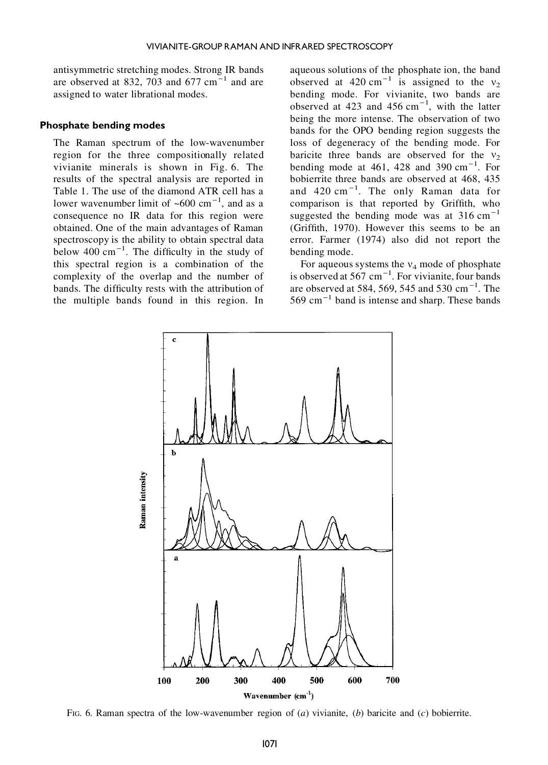antisymmetric stretching modes. Strong IR bands are observed at 832, 703 and 677 cm<sup> $-1$ </sup> and are assigned to water librational modes.

#### **Phosphate bending modes**

The Raman spectrum of the low-wavenumber region for the three compositionally related vivianite minerals is shown in Fig. 6. The results of the spectral analysis are reported in Table 1. The use of the diamond ATR cell has a lower wavenumber limit of  $~500~{\rm cm}^{-1}$ , and as a consequence no IR data for this region were obtained. One of the main advantages of Raman spectroscopy is the ability to obtain spectral data below  $400 \text{ cm}^{-1}$ . The difficulty in the study of this spectral region is a combination of the complexity of the overlap and the number of bands. The difficulty rests with the attribution of the multiple bands found in this region. In

aqueous solutions of the phosphate ion, the band observed at 420 cm<sup>-1</sup> is assigned to the  $v_2$ bending mode. For vivianite, two bands are observed at 423 and 456  $cm^{-1}$ , with the latter being the more intense. The observation of two bands for the OPO bending region suggests the loss of degeneracy of the bending mode. For baricite three bands are observed for the  $v_2$ bending mode at 461, 428 and 390  $\text{cm}^{-1}$ . For bobierrite three bands are observed at 468, 435 and  $420 \text{ cm}^{-1}$ . The only Raman data for comparison is that reported by Griffith, who suggested the bending mode was at  $316 \text{ cm}^{-1}$ (Griffith, 1970). However this seems to be an error. Farmer (1974) also did not report the bending mode.

For aqueous systems the  $v_4$  mode of phosphate is observed at  $567 \text{ cm}^{-1}$ . For vivianite, four bands are observed at 584, 569, 545 and 530  $\text{cm}^{-1}$ . The  $569 \text{ cm}^{-1}$  band is intense and sharp. These bands



FIG. 6. Raman spectra of the low-wavenumber region of (*a*) vivianite, (*b*) baricite and (*c*) bobierrite.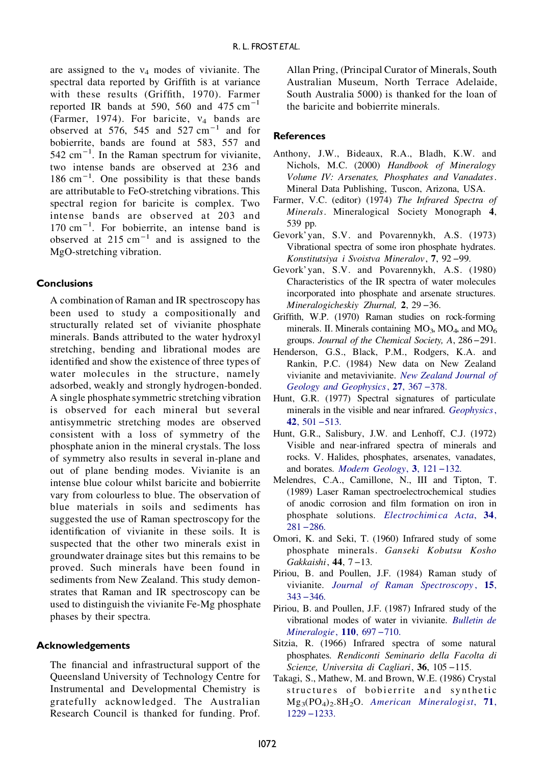are assigned to the  $v_4$  modes of vivianite. The spectral data reported by Griffith is at variance with these results (Griffith, 1970). Farmer reported IR bands at 590, 560 and 475  $cm^{-1}$ (Farmer, 1974). For baricite,  $v_4$  bands are observed at 576, 545 and 527 cm<sup>-1</sup> and for bobierrite, bands are found at 583, 557 and  $542 \text{ cm}^{-1}$ . In the Raman spectrum for vivianite, two intense bands are observed at 236 and  $186 \text{ cm}^{-1}$ . One possibility is that these bands are attributable to FeO-stretching vibrations. This spectral region for baricite is complex. Two intense bands are observed at 203 and  $170 \text{ cm}^{-1}$ . For bobierrite, an intense band is observed at  $215 \text{ cm}^{-1}$  and is assigned to the MgO-stretching vibration.

## **Conclusions**

A combination of Raman and IR spectroscopy has been used to study a compositionally and structurally related set of vivianite phosphate minerals. Bands attributed to the water hydroxyl stretching, bending and librational modes are identified and show the existence of three types of water molecules in the structure, namely adsorbed, weakly and strongly hydrogen-bonded. A single phosphate symmetric stretching vibration is observed for each mineral but several antisymmetric stretching modes are observed consistent with a loss of symmetry of the phosphate anion in the mineral crystals. The loss of symmetry also results in several in-plane and out of plane bending modes. Vivianite is an intense blue colour whilst baricite and bobierrite vary from colourless to blue. The observation of blue materials in soils and sediments has suggested the use of Raman spectroscopy for the identification of vivianite in these soils. It is suspected that the other two minerals exist in groundwater drainage sites but this remains to be proved. Such minerals have been found in sediments from New Zealand. This study demonstrates that Raman and IR spectroscopy can be used to distinguish the vivianite Fe-Mg phosphate phases by their spectra.

# **Acknowledgements**

The financial and infrastructural support of the Queensland University of Technology Centre for Instrumental and Developmental Chemistry is gratefully acknowledged. The Australian Research Council is thanked for funding. Prof. Allan Pring, (Principal Curator of Minerals, South Australian Museum, North Terrace Adelaide, South Australia 5000) is thanked for the loan of the baricite and bobierrite minerals.

# **References**

- Anthony, J.W., Bideaux, R.A., Bladh, K.W. and Nichols, M.C. (2000) *Handbook of Mineralogy Volume IV: Arsenates, Phosphates and Vanadates*. Mineral Data Publishing, Tuscon, Arizona, USA.
- Farmer, V.C. (editor) (1974) *The Infrared Spectra of Minerals*. Mineralogical Society Monograph **4**, 539 pp.
- Gevork'yan, S.V. and Povarennykh, A.S. (1973) Vibrational spectra of some iron phosphate hydrates. *Konstitutsiya i Svoistva Mineralov*, 7, 92-99.
- Gevork'yan, S.V. and Povarennykh, A.S. (1980) Characteristics of the IR spectra of water molecules incorporated into phosphate and arsenate structures. *Mineralogicheskiy Zhurnal*, 2, 29-36.
- Griffith, W.P. (1970) Raman studies on rock-forming minerals. II. Minerals containing  $MO_3$ ,  $MO_4$ , and  $MO_6$ groups. *Journal of the Chemical Society, A*, 286 291.
- Henderson, G.S., Black, P.M., Rodgers, K.A. and Rankin, P.C. (1984) New data on New Zealand vivianite and metavivianite. *New [Zealand](http://www.ingentaselect.com/rpsv/cgi-bin/linker?ext=a&reqidx=/0028-8306^28^2927L.367[aid=3452999]) Journal of Geology and [Geophysics](http://www.ingentaselect.com/rpsv/cgi-bin/linker?ext=a&reqidx=/0028-8306^28^2927L.367[aid=3452999])*, 27, 367-378.
- Hunt, G.R. (1977) Spectral signatures of particulate minerals in the visible and near infrared. *[Geophysics](http://www.ingentaselect.com/rpsv/cgi-bin/linker?ext=a&reqidx=/0016-8033^28^2942L.501[aid=653257])*,  $42, 501 - 513.$  $42, 501 - 513.$
- Hunt, G.R., Salisbury, J.W. and Lenhoff, C.J. (1972) Visible and near-infrared spectra of minerals and rocks. V. Halides, phosphates, arsenates, vanadates, and borates. *Modern [Geology](http://www.ingentaselect.com/rpsv/cgi-bin/linker?ext=a&reqidx=/0026-7775^28^293L.121[aid=3453000])*, 3, 121-132.
- Melendres, C.A., Camillone, N., III and Tipton, T. (1989) Laser Raman spectroelectrochemical studies of anodic corrosion and film formation on iron in phosphate solutions. *[Electrochimi](http://www.ingentaselect.com/rpsv/cgi-bin/linker?ext=a&reqidx=/0013-4686^28^2934L.281[aid=3453001]) ca Acta*, **34**,  $281 - 286$ .
- Omori, K. and Seki, T. (1960) Infrared study of some phosphate minerals. *Ganseki Kobutsu Kosho Gakkaishi*, 44, 7-13.
- Piriou, B. and Poullen, J.F. (1984) Raman study of vivianite. *Journal of Raman [Spectroscopy](http://www.ingentaselect.com/rpsv/cgi-bin/linker?ext=a&reqidx=/0377-0486^28^2915L.343[aid=3453002])* , **15**,  $343 - 346.$  $343 - 346.$
- Piriou, B. and Poullen, J.F. (1987) Infrared study of the vibrational modes of water in vivianite. *[Bulletin](http://www.ingentaselect.com/rpsv/cgi-bin/linker?ext=a&reqidx=/0180-9210^28^29110L.697[aid=3453003]) de [Mineralogie](http://www.ingentaselect.com/rpsv/cgi-bin/linker?ext=a&reqidx=/0180-9210^28^29110L.697[aid=3453003])*, **110**, 697-710.
- Sitzia, R. (1966) Infrared spectra of some natural phosphates. *Rendiconti Seminario della Facolta di Scienze, Universita di Cagliari*, **36**, 105 115.
- Takagi, S., Mathew, M. and Brown, W.E. (1986) Crystal structures of bobierrite and synthetic Mg3(PO4)2 .8H2O. *American [Mineralogist](http://www.ingentaselect.com/rpsv/cgi-bin/linker?ext=a&reqidx=/0003-004X^28^2971L.1229[aid=3453004])*, **71**,  $1229 - 1233.$  $1229 - 1233.$